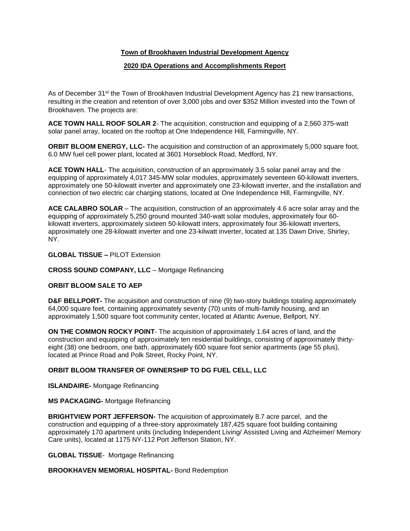# **Town of Brookhaven Industrial Development Agency**

# **2020 IDA Operations and Accomplishments Report**

As of December 31<sup>st</sup> the Town of Brookhaven Industrial Development Agency has 21 new transactions, resulting in the creation and retention of over 3,000 jobs and over \$352 Million invested into the Town of Brookhaven. The projects are:

**ACE TOWN HALL ROOF SOLAR 2**- The acquisition, construction and equipping of a 2,560 375-watt solar panel array, located on the rooftop at One Independence Hill, Farmingville, NY.

**ORBIT BLOOM ENERGY, LLC-** The acquisition and construction of an approximately 5,000 square foot, 6.0 MW fuel cell power plant, located at 3601 Horseblock Road, Medford, NY.

**ACE TOWN HALL**- The acquisition, construction of an approximately 3.5 solar panel array and the equipping of approximately 4,017 345-MW solar modules, approximately seventeen 60-kilowatt inverters, approximately one 50-kilowatt inverter and approximately one 23-kilowatt inverter, and the installation and connection of two electric car charging stations, located at One Independence Hill, Farmingville, NY.

**ACE CALABRO SOLAR** – The acquisition, construction of an approximately 4.6 acre solar array and the equipping of approximately 5,250 ground mounted 340-watt solar modules, approximately four 60 kilowatt inverters, approximately sixteen 50-kilowatt inters, approximately four 36-kilowatt inverters, approximately one 28-kilowatt inverter and one 23-kilwatt inverter, located at 135 Dawn Drive, Shirley, NY.

### **GLOBAL TISSUE –** PILOT Extension

### **CROSS SOUND COMPANY, LLC** – Mortgage Refinancing

### **ORBIT BLOOM SALE TO AEP**

**D&F BELLPORT-** The acquisition and construction of nine (9) two-story buildings totaling approximately 64,000 square feet, containing approximately seventy (70) units of multi-family housing, and an approximately 1,500 square foot community center, located at Atlantic Avenue, Bellport, NY.

**ON THE COMMON ROCKY POINT**- The acquisition of approximately 1.64 acres of land, and the construction and equipping of approximately ten residential buildings, consisting of approximately thirtyeight (38) one bedroom, one bath, approximately 600 square foot senior apartments (age 55 plus), located at Prince Road and Polk Street, Rocky Point, NY.

### **ORBIT BLOOM TRANSFER OF OWNERSHIP TO DG FUEL CELL, LLC**

**ISLANDAIRE-** Mortgage Refinancing

**MS PACKAGING-** Mortgage Refinancing

**BRIGHTVIEW PORT JEFFERSON-** The acquisition of approximately 8.7 acre parcel, and the construction and equipping of a three-story approximately 187,425 square foot building containing approximately 170 apartment units (including Independent Living/ Assisted Living and Alzheimer/ Memory Care units), located at 1175 NY-112 Port Jefferson Station, NY.

**GLOBAL TISSUE**- Mortgage Refinancing

#### **BROOKHAVEN MEMORIAL HOSPITAL-** Bond Redemption